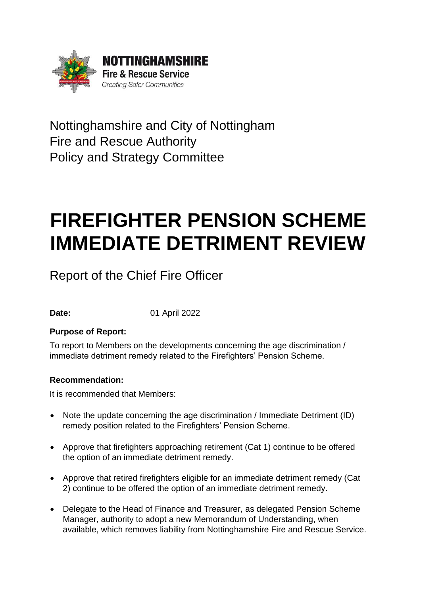

Nottinghamshire and City of Nottingham Fire and Rescue Authority Policy and Strategy Committee

# **FIREFIGHTER PENSION SCHEME IMMEDIATE DETRIMENT REVIEW**

Report of the Chief Fire Officer

**Date:** 01 April 2022

# **Purpose of Report:**

To report to Members on the developments concerning the age discrimination / immediate detriment remedy related to the Firefighters' Pension Scheme.

# **Recommendation:**

It is recommended that Members:

- Note the update concerning the age discrimination / Immediate Detriment (ID) remedy position related to the Firefighters' Pension Scheme.
- Approve that firefighters approaching retirement (Cat 1) continue to be offered the option of an immediate detriment remedy.
- Approve that retired firefighters eligible for an immediate detriment remedy (Cat 2) continue to be offered the option of an immediate detriment remedy.
- Delegate to the Head of Finance and Treasurer, as delegated Pension Scheme Manager, authority to adopt a new Memorandum of Understanding, when available, which removes liability from Nottinghamshire Fire and Rescue Service.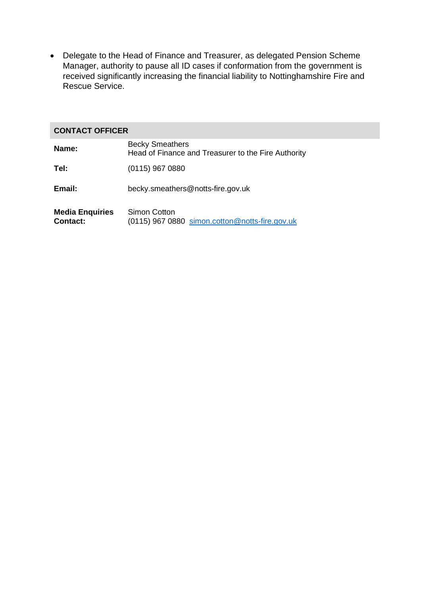• Delegate to the Head of Finance and Treasurer, as delegated Pension Scheme Manager, authority to pause all ID cases if conformation from the government is received significantly increasing the financial liability to Nottinghamshire Fire and Rescue Service.

#### **CONTACT OFFICER**

| Name:                                     | <b>Becky Smeathers</b><br>Head of Finance and Treasurer to the Fire Authority |
|-------------------------------------------|-------------------------------------------------------------------------------|
| Tel:                                      | $(0115)$ 967 0880                                                             |
| Email:                                    | becky.smeathers@notts-fire.gov.uk                                             |
| <b>Media Enquiries</b><br><b>Contact:</b> | Simon Cotton<br>(0115) 967 0880 simon.cotton@notts-fire.gov.uk                |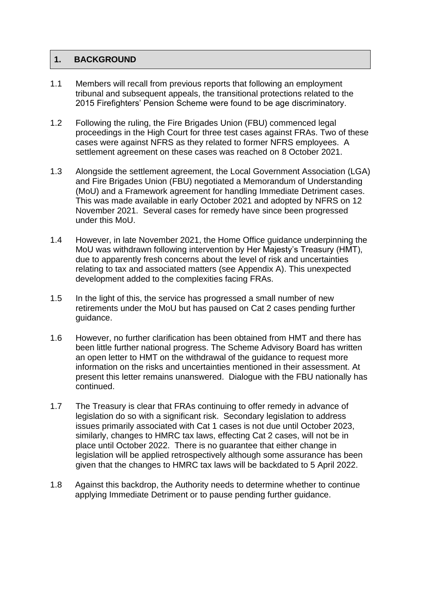## **1. BACKGROUND**

- 1.1 Members will recall from previous reports that following an employment tribunal and subsequent appeals, the transitional protections related to the 2015 Firefighters' Pension Scheme were found to be age discriminatory.
- 1.2 Following the ruling, the Fire Brigades Union (FBU) commenced legal proceedings in the High Court for three test cases against FRAs. Two of these cases were against NFRS as they related to former NFRS employees. A settlement agreement on these cases was reached on 8 October 2021.
- 1.3 Alongside the settlement agreement, the Local Government Association (LGA) and Fire Brigades Union (FBU) negotiated a Memorandum of Understanding (MoU) and a Framework agreement for handling Immediate Detriment cases. This was made available in early October 2021 and adopted by NFRS on 12 November 2021. Several cases for remedy have since been progressed under this MoU.
- 1.4 However, in late November 2021, the Home Office guidance underpinning the MoU was withdrawn following intervention by Her Majesty's Treasury (HMT), due to apparently fresh concerns about the level of risk and uncertainties relating to tax and associated matters (see Appendix A). This unexpected development added to the complexities facing FRAs.
- 1.5 In the light of this, the service has progressed a small number of new retirements under the MoU but has paused on Cat 2 cases pending further guidance.
- 1.6 However, no further clarification has been obtained from HMT and there has been little further national progress. The Scheme Advisory Board has written an open letter to HMT on the withdrawal of the guidance to request more information on the risks and uncertainties mentioned in their assessment. At present this letter remains unanswered. Dialogue with the FBU nationally has continued.
- 1.7 The Treasury is clear that FRAs continuing to offer remedy in advance of legislation do so with a significant risk. Secondary legislation to address issues primarily associated with Cat 1 cases is not due until October 2023, similarly, changes to HMRC tax laws, effecting Cat 2 cases, will not be in place until October 2022. There is no guarantee that either change in legislation will be applied retrospectively although some assurance has been given that the changes to HMRC tax laws will be backdated to 5 April 2022.
- 1.8 Against this backdrop, the Authority needs to determine whether to continue applying Immediate Detriment or to pause pending further guidance.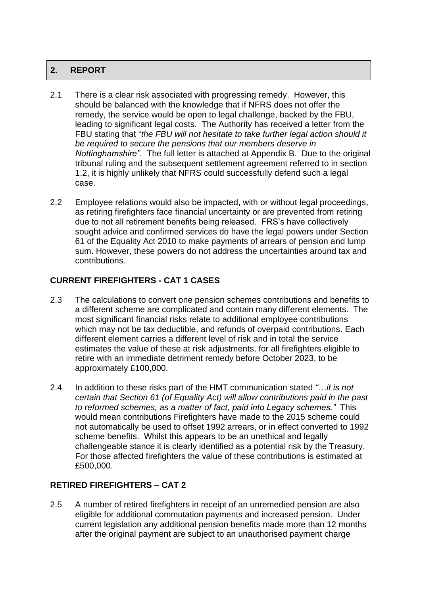## **2. REPORT**

- 2.1 There is a clear risk associated with progressing remedy. However, this should be balanced with the knowledge that if NFRS does not offer the remedy, the service would be open to legal challenge, backed by the FBU, leading to significant legal costs. The Authority has received a letter from the FBU stating that "*the FBU will not hesitate to take further legal action should it be required to secure the pensions that our members deserve in Nottinghamshire".* The full letter is attached at Appendix B. Due to the original tribunal ruling and the subsequent settlement agreement referred to in section 1.2, it is highly unlikely that NFRS could successfully defend such a legal case.
- 2.2 Employee relations would also be impacted, with or without legal proceedings, as retiring firefighters face financial uncertainty or are prevented from retiring due to not all retirement benefits being released. FRS's have collectively sought advice and confirmed services do have the legal powers under Section 61 of the Equality Act 2010 to make payments of arrears of pension and lump sum. However, these powers do not address the uncertainties around tax and contributions.

# **CURRENT FIREFIGHTERS - CAT 1 CASES**

- 2.3 The calculations to convert one pension schemes contributions and benefits to a different scheme are complicated and contain many different elements. The most significant financial risks relate to additional employee contributions which may not be tax deductible, and refunds of overpaid contributions. Each different element carries a different level of risk and in total the service estimates the value of these at risk adjustments, for all firefighters eligible to retire with an immediate detriment remedy before October 2023, to be approximately £100,000.
- 2.4 In addition to these risks part of the HMT communication stated *"…it is not certain that Section 61 (of Equality Act) will allow contributions paid in the past to reformed schemes, as a matter of fact, paid into Legacy schemes."* This would mean contributions Firefighters have made to the 2015 scheme could not automatically be used to offset 1992 arrears, or in effect converted to 1992 scheme benefits. Whilst this appears to be an unethical and legally challengeable stance it is clearly identified as a potential risk by the Treasury. For those affected firefighters the value of these contributions is estimated at £500,000.

## **RETIRED FIREFIGHTERS – CAT 2**

2.5 A number of retired firefighters in receipt of an unremedied pension are also eligible for additional commutation payments and increased pension. Under current legislation any additional pension benefits made more than 12 months after the original payment are subject to an unauthorised payment charge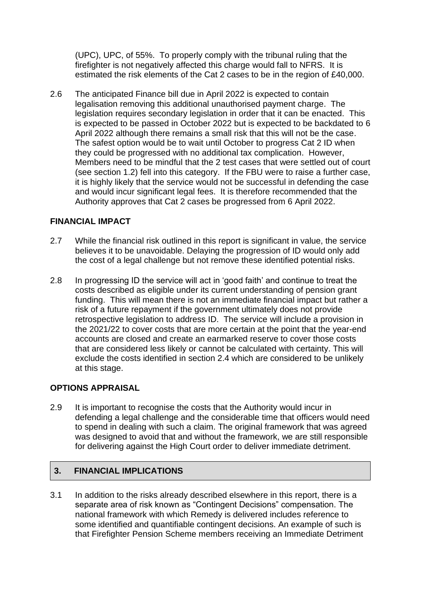(UPC), UPC, of 55%. To properly comply with the tribunal ruling that the firefighter is not negatively affected this charge would fall to NFRS. It is estimated the risk elements of the Cat 2 cases to be in the region of £40,000.

2.6 The anticipated Finance bill due in April 2022 is expected to contain legalisation removing this additional unauthorised payment charge. The legislation requires secondary legislation in order that it can be enacted. This is expected to be passed in October 2022 but is expected to be backdated to 6 April 2022 although there remains a small risk that this will not be the case. The safest option would be to wait until October to progress Cat 2 ID when they could be progressed with no additional tax complication. However, Members need to be mindful that the 2 test cases that were settled out of court (see section 1.2) fell into this category. If the FBU were to raise a further case, it is highly likely that the service would not be successful in defending the case and would incur significant legal fees. It is therefore recommended that the Authority approves that Cat 2 cases be progressed from 6 April 2022.

#### **FINANCIAL IMPACT**

- 2.7 While the financial risk outlined in this report is significant in value, the service believes it to be unavoidable. Delaying the progression of ID would only add the cost of a legal challenge but not remove these identified potential risks.
- 2.8 In progressing ID the service will act in 'good faith' and continue to treat the costs described as eligible under its current understanding of pension grant funding. This will mean there is not an immediate financial impact but rather a risk of a future repayment if the government ultimately does not provide retrospective legislation to address ID. The service will include a provision in the 2021/22 to cover costs that are more certain at the point that the year-end accounts are closed and create an earmarked reserve to cover those costs that are considered less likely or cannot be calculated with certainty. This will exclude the costs identified in section 2.4 which are considered to be unlikely at this stage.

## **OPTIONS APPRAISAL**

2.9 It is important to recognise the costs that the Authority would incur in defending a legal challenge and the considerable time that officers would need to spend in dealing with such a claim. The original framework that was agreed was designed to avoid that and without the framework, we are still responsible for delivering against the High Court order to deliver immediate detriment.

## **3. FINANCIAL IMPLICATIONS**

3.1 In addition to the risks already described elsewhere in this report, there is a separate area of risk known as "Contingent Decisions" compensation. The national framework with which Remedy is delivered includes reference to some identified and quantifiable contingent decisions. An example of such is that Firefighter Pension Scheme members receiving an Immediate Detriment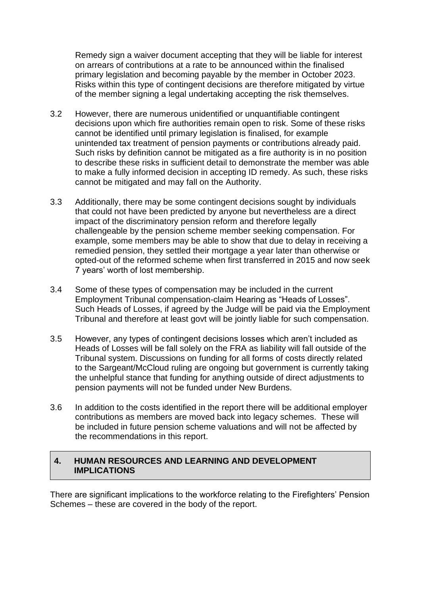Remedy sign a waiver document accepting that they will be liable for interest on arrears of contributions at a rate to be announced within the finalised primary legislation and becoming payable by the member in October 2023. Risks within this type of contingent decisions are therefore mitigated by virtue of the member signing a legal undertaking accepting the risk themselves.

- 3.2 However, there are numerous unidentified or unquantifiable contingent decisions upon which fire authorities remain open to risk. Some of these risks cannot be identified until primary legislation is finalised, for example unintended tax treatment of pension payments or contributions already paid. Such risks by definition cannot be mitigated as a fire authority is in no position to describe these risks in sufficient detail to demonstrate the member was able to make a fully informed decision in accepting ID remedy. As such, these risks cannot be mitigated and may fall on the Authority.
- 3.3 Additionally, there may be some contingent decisions sought by individuals that could not have been predicted by anyone but nevertheless are a direct impact of the discriminatory pension reform and therefore legally challengeable by the pension scheme member seeking compensation. For example, some members may be able to show that due to delay in receiving a remedied pension, they settled their mortgage a year later than otherwise or opted-out of the reformed scheme when first transferred in 2015 and now seek 7 years' worth of lost membership.
- 3.4 Some of these types of compensation may be included in the current Employment Tribunal compensation-claim Hearing as "Heads of Losses". Such Heads of Losses, if agreed by the Judge will be paid via the Employment Tribunal and therefore at least govt will be jointly liable for such compensation.
- 3.5 However, any types of contingent decisions losses which aren't included as Heads of Losses will be fall solely on the FRA as liability will fall outside of the Tribunal system. Discussions on funding for all forms of costs directly related to the Sargeant/McCloud ruling are ongoing but government is currently taking the unhelpful stance that funding for anything outside of direct adjustments to pension payments will not be funded under New Burdens.
- 3.6 In addition to the costs identified in the report there will be additional employer contributions as members are moved back into legacy schemes. These will be included in future pension scheme valuations and will not be affected by the recommendations in this report.

## **4. HUMAN RESOURCES AND LEARNING AND DEVELOPMENT IMPLICATIONS**

There are significant implications to the workforce relating to the Firefighters' Pension Schemes – these are covered in the body of the report.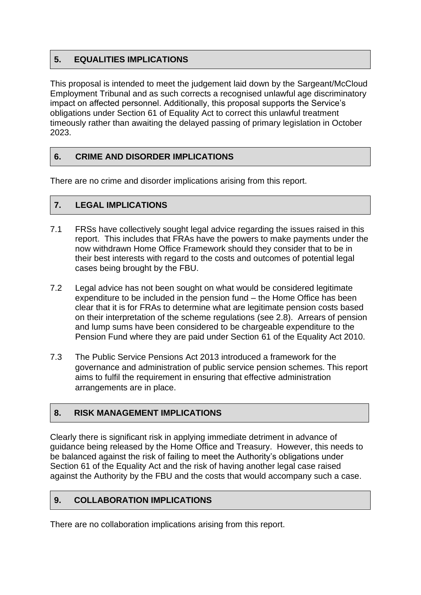## **5. EQUALITIES IMPLICATIONS**

This proposal is intended to meet the judgement laid down by the Sargeant/McCloud Employment Tribunal and as such corrects a recognised unlawful age discriminatory impact on affected personnel. Additionally, this proposal supports the Service's obligations under Section 61 of Equality Act to correct this unlawful treatment timeously rather than awaiting the delayed passing of primary legislation in October 2023.

## **6. CRIME AND DISORDER IMPLICATIONS**

There are no crime and disorder implications arising from this report.

## **7. LEGAL IMPLICATIONS**

- 7.1 FRSs have collectively sought legal advice regarding the issues raised in this report. This includes that FRAs have the powers to make payments under the now withdrawn Home Office Framework should they consider that to be in their best interests with regard to the costs and outcomes of potential legal cases being brought by the FBU.
- 7.2 Legal advice has not been sought on what would be considered legitimate expenditure to be included in the pension fund – the Home Office has been clear that it is for FRAs to determine what are legitimate pension costs based on their interpretation of the scheme regulations (see 2.8). Arrears of pension and lump sums have been considered to be chargeable expenditure to the Pension Fund where they are paid under Section 61 of the Equality Act 2010.
- 7.3 The Public Service Pensions Act 2013 introduced a framework for the governance and administration of public service pension schemes. This report aims to fulfil the requirement in ensuring that effective administration arrangements are in place.

## **8. RISK MANAGEMENT IMPLICATIONS**

Clearly there is significant risk in applying immediate detriment in advance of guidance being released by the Home Office and Treasury. However, this needs to be balanced against the risk of failing to meet the Authority's obligations under Section 61 of the Equality Act and the risk of having another legal case raised against the Authority by the FBU and the costs that would accompany such a case.

## **9. COLLABORATION IMPLICATIONS**

There are no collaboration implications arising from this report.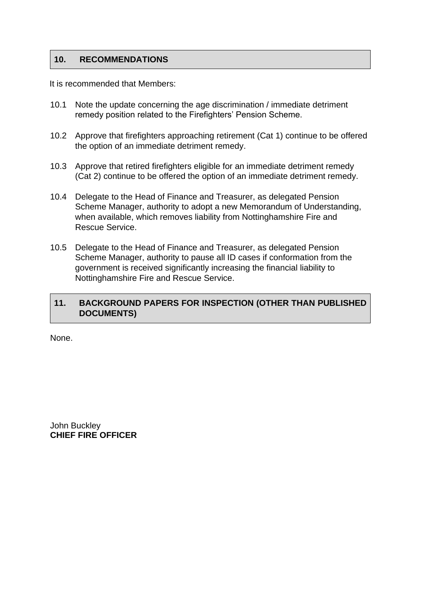#### **10. RECOMMENDATIONS**

It is recommended that Members:

- 10.1 Note the update concerning the age discrimination / immediate detriment remedy position related to the Firefighters' Pension Scheme.
- 10.2 Approve that firefighters approaching retirement (Cat 1) continue to be offered the option of an immediate detriment remedy.
- 10.3 Approve that retired firefighters eligible for an immediate detriment remedy (Cat 2) continue to be offered the option of an immediate detriment remedy.
- 10.4 Delegate to the Head of Finance and Treasurer, as delegated Pension Scheme Manager, authority to adopt a new Memorandum of Understanding, when available, which removes liability from Nottinghamshire Fire and Rescue Service.
- 10.5 Delegate to the Head of Finance and Treasurer, as delegated Pension Scheme Manager, authority to pause all ID cases if conformation from the government is received significantly increasing the financial liability to Nottinghamshire Fire and Rescue Service.

#### **11. BACKGROUND PAPERS FOR INSPECTION (OTHER THAN PUBLISHED DOCUMENTS)**

None.

John Buckley **CHIEF FIRE OFFICER**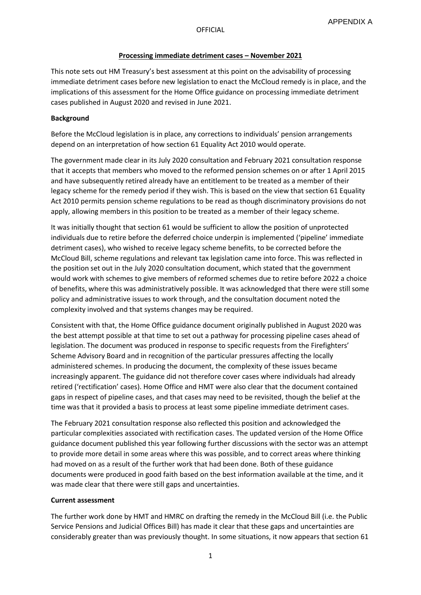#### OFFICIAL

#### **Processing immediate detriment cases – November 2021**

This note sets out HM Treasury's best assessment at this point on the advisability of processing immediate detriment cases before new legislation to enact the McCloud remedy is in place, and the implications of this assessment for the Home Office guidance on processing immediate detriment cases published in August 2020 and revised in June 2021.

#### **Background**

Before the McCloud legislation is in place, any corrections to individuals' pension arrangements depend on an interpretation of how section 61 Equality Act 2010 would operate.

The government made clear in its July 2020 consultation and February 2021 consultation response that it accepts that members who moved to the reformed pension schemes on or after 1 April 2015 and have subsequently retired already have an entitlement to be treated as a member of their legacy scheme for the remedy period if they wish. This is based on the view that section 61 Equality Act 2010 permits pension scheme regulations to be read as though discriminatory provisions do not apply, allowing members in this position to be treated as a member of their legacy scheme.

It was initially thought that section 61 would be sufficient to allow the position of unprotected individuals due to retire before the deferred choice underpin is implemented ('pipeline' immediate detriment cases), who wished to receive legacy scheme benefits, to be corrected before the McCloud Bill, scheme regulations and relevant tax legislation came into force. This was reflected in the position set out in the July 2020 consultation document, which stated that the government would work with schemes to give members of reformed schemes due to retire before 2022 a choice of benefits, where this was administratively possible. It was acknowledged that there were still some policy and administrative issues to work through, and the consultation document noted the complexity involved and that systems changes may be required.

Consistent with that, the Home Office guidance document originally published in August 2020 was the best attempt possible at that time to set out a pathway for processing pipeline cases ahead of legislation. The document was produced in response to specific requests from the Firefighters' Scheme Advisory Board and in recognition of the particular pressures affecting the locally administered schemes. In producing the document, the complexity of these issues became increasingly apparent. The guidance did not therefore cover cases where individuals had already retired ('rectification' cases). Home Office and HMT were also clear that the document contained gaps in respect of pipeline cases, and that cases may need to be revisited, though the belief at the time was that it provided a basis to process at least some pipeline immediate detriment cases.

The February 2021 consultation response also reflected this position and acknowledged the particular complexities associated with rectification cases. The updated version of the Home Office guidance document published this year following further discussions with the sector was an attempt to provide more detail in some areas where this was possible, and to correct areas where thinking had moved on as a result of the further work that had been done. Both of these guidance documents were produced in good faith based on the best information available at the time, and it was made clear that there were still gaps and uncertainties.

#### **Current assessment**

The further work done by HMT and HMRC on drafting the remedy in the McCloud Bill (i.e. the Public Service Pensions and Judicial Offices Bill) has made it clear that these gaps and uncertainties are considerably greater than was previously thought. In some situations, it now appears that section 61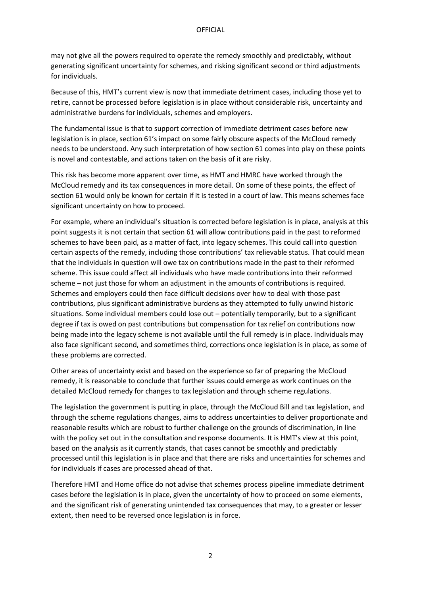may not give all the powers required to operate the remedy smoothly and predictably, without generating significant uncertainty for schemes, and risking significant second or third adjustments for individuals.

Because of this, HMT's current view is now that immediate detriment cases, including those yet to retire, cannot be processed before legislation is in place without considerable risk, uncertainty and administrative burdens for individuals, schemes and employers.

The fundamental issue is that to support correction of immediate detriment cases before new legislation is in place, section 61's impact on some fairly obscure aspects of the McCloud remedy needs to be understood. Any such interpretation of how section 61 comes into play on these points is novel and contestable, and actions taken on the basis of it are risky.

This risk has become more apparent over time, as HMT and HMRC have worked through the McCloud remedy and its tax consequences in more detail. On some of these points, the effect of section 61 would only be known for certain if it is tested in a court of law. This means schemes face significant uncertainty on how to proceed.

For example, where an individual's situation is corrected before legislation is in place, analysis at this point suggests it is not certain that section 61 will allow contributions paid in the past to reformed schemes to have been paid, as a matter of fact, into legacy schemes. This could call into question certain aspects of the remedy, including those contributions' tax relievable status. That could mean that the individuals in question will owe tax on contributions made in the past to their reformed scheme. This issue could affect all individuals who have made contributions into their reformed scheme – not just those for whom an adjustment in the amounts of contributions is required. Schemes and employers could then face difficult decisions over how to deal with those past contributions, plus significant administrative burdens as they attempted to fully unwind historic situations. Some individual members could lose out – potentially temporarily, but to a significant degree if tax is owed on past contributions but compensation for tax relief on contributions now being made into the legacy scheme is not available until the full remedy is in place. Individuals may also face significant second, and sometimes third, corrections once legislation is in place, as some of these problems are corrected.

Other areas of uncertainty exist and based on the experience so far of preparing the McCloud remedy, it is reasonable to conclude that further issues could emerge as work continues on the detailed McCloud remedy for changes to tax legislation and through scheme regulations.

The legislation the government is putting in place, through the McCloud Bill and tax legislation, and through the scheme regulations changes, aims to address uncertainties to deliver proportionate and reasonable results which are robust to further challenge on the grounds of discrimination, in line with the policy set out in the consultation and response documents. It is HMT's view at this point, based on the analysis as it currently stands, that cases cannot be smoothly and predictably processed until this legislation is in place and that there are risks and uncertainties for schemes and for individuals if cases are processed ahead of that.

Therefore HMT and Home office do not advise that schemes process pipeline immediate detriment cases before the legislation is in place, given the uncertainty of how to proceed on some elements, and the significant risk of generating unintended tax consequences that may, to a greater or lesser extent, then need to be reversed once legislation is in force.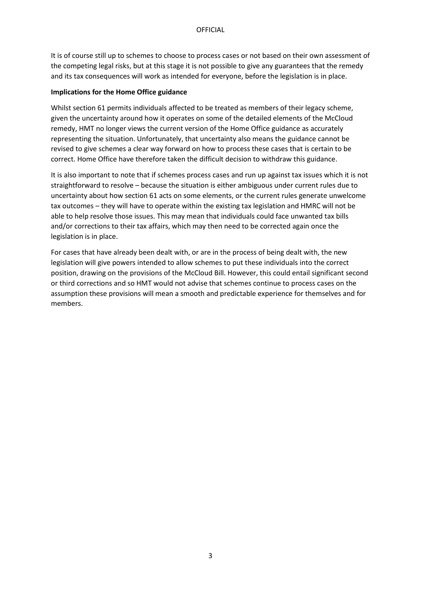It is of course still up to schemes to choose to process cases or not based on their own assessment of the competing legal risks, but at this stage it is not possible to give any guarantees that the remedy and its tax consequences will work as intended for everyone, before the legislation is in place.

#### **Implications for the Home Office guidance**

Whilst section 61 permits individuals affected to be treated as members of their legacy scheme, given the uncertainty around how it operates on some of the detailed elements of the McCloud remedy, HMT no longer views the current version of the Home Office guidance as accurately representing the situation. Unfortunately, that uncertainty also means the guidance cannot be revised to give schemes a clear way forward on how to process these cases that is certain to be correct. Home Office have therefore taken the difficult decision to withdraw this guidance.

It is also important to note that if schemes process cases and run up against tax issues which it is not straightforward to resolve – because the situation is either ambiguous under current rules due to uncertainty about how section 61 acts on some elements, or the current rules generate unwelcome tax outcomes – they will have to operate within the existing tax legislation and HMRC will not be able to help resolve those issues. This may mean that individuals could face unwanted tax bills and/or corrections to their tax affairs, which may then need to be corrected again once the legislation is in place.

For cases that have already been dealt with, or are in the process of being dealt with, the new legislation will give powers intended to allow schemes to put these individuals into the correct position, drawing on the provisions of the McCloud Bill. However, this could entail significant second or third corrections and so HMT would not advise that schemes continue to process cases on the assumption these provisions will mean a smooth and predictable experience for themselves and for members.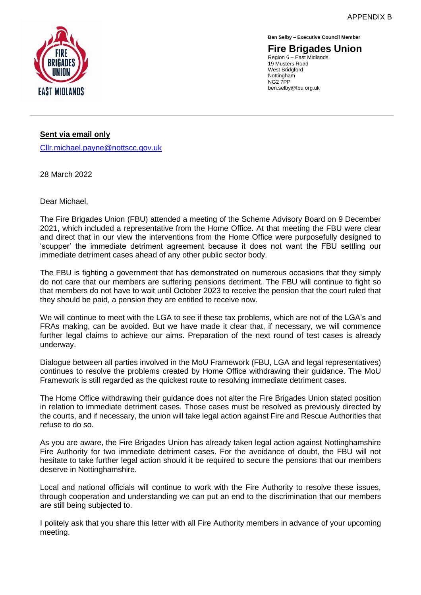

**Ben Selby – Executive Council Member**

**Fire Brigades Union** Region 6 – East Midlands 19 Musters Road West Bridgford **Nottingham** NG2 7PP

ben.selby@fbu.org.uk

**Sent via email only**

[Cllr.michael.payne@nottscc.gov.uk](mailto:Cllr.michael.payne@nottscc.gov.uk)

28 March 2022

Dear Michael,

The Fire Brigades Union (FBU) attended a meeting of the Scheme Advisory Board on 9 December 2021, which included a representative from the Home Office. At that meeting the FBU were clear and direct that in our view the interventions from the Home Office were purposefully designed to 'scupper' the immediate detriment agreement because it does not want the FBU settling our immediate detriment cases ahead of any other public sector body.

The FBU is fighting a government that has demonstrated on numerous occasions that they simply do not care that our members are suffering pensions detriment. The FBU will continue to fight so that members do not have to wait until October 2023 to receive the pension that the court ruled that they should be paid, a pension they are entitled to receive now.

We will continue to meet with the LGA to see if these tax problems, which are not of the LGA's and FRAs making, can be avoided. But we have made it clear that, if necessary, we will commence further legal claims to achieve our aims. Preparation of the next round of test cases is already underway.

Dialogue between all parties involved in the MoU Framework (FBU, LGA and legal representatives) continues to resolve the problems created by Home Office withdrawing their guidance. The MoU Framework is still regarded as the quickest route to resolving immediate detriment cases.

The Home Office withdrawing their guidance does not alter the Fire Brigades Union stated position in relation to immediate detriment cases. Those cases must be resolved as previously directed by the courts, and if necessary, the union will take legal action against Fire and Rescue Authorities that refuse to do so.

As you are aware, the Fire Brigades Union has already taken legal action against Nottinghamshire Fire Authority for two immediate detriment cases. For the avoidance of doubt, the FBU will not hesitate to take further legal action should it be required to secure the pensions that our members deserve in Nottinghamshire.

Local and national officials will continue to work with the Fire Authority to resolve these issues, through cooperation and understanding we can put an end to the discrimination that our members are still being subjected to.

I politely ask that you share this letter with all Fire Authority members in advance of your upcoming meeting.